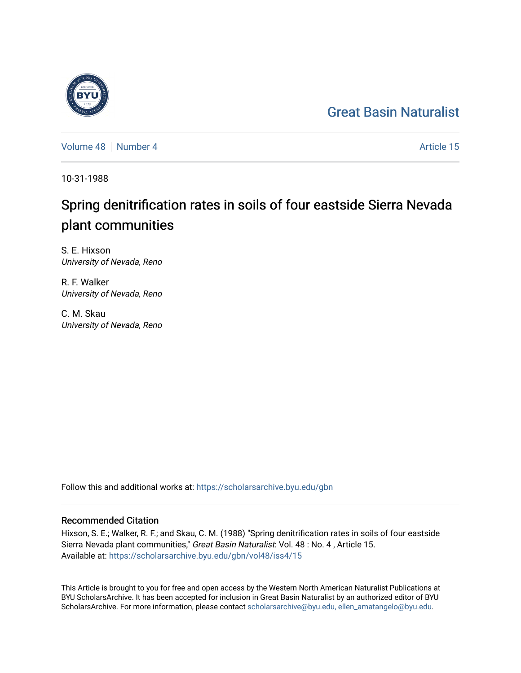## [Great Basin Naturalist](https://scholarsarchive.byu.edu/gbn)

[Volume 48](https://scholarsarchive.byu.edu/gbn/vol48) [Number 4](https://scholarsarchive.byu.edu/gbn/vol48/iss4) Article 15

10-31-1988

# Spring denitrification rates in soils of four eastside Sierra Nevada plant communities

S. E. Hixson University of Nevada, Reno

R. F. Walker University of Nevada, Reno

C. M. Skau University of Nevada, Reno

Follow this and additional works at: [https://scholarsarchive.byu.edu/gbn](https://scholarsarchive.byu.edu/gbn?utm_source=scholarsarchive.byu.edu%2Fgbn%2Fvol48%2Fiss4%2F15&utm_medium=PDF&utm_campaign=PDFCoverPages) 

### Recommended Citation

Hixson, S. E.; Walker, R. F.; and Skau, C. M. (1988) "Spring denitrification rates in soils of four eastside Sierra Nevada plant communities," Great Basin Naturalist: Vol. 48 : No. 4 , Article 15. Available at: [https://scholarsarchive.byu.edu/gbn/vol48/iss4/15](https://scholarsarchive.byu.edu/gbn/vol48/iss4/15?utm_source=scholarsarchive.byu.edu%2Fgbn%2Fvol48%2Fiss4%2F15&utm_medium=PDF&utm_campaign=PDFCoverPages) 

This Article is brought to you for free and open access by the Western North American Naturalist Publications at BYU ScholarsArchive. It has been accepted for inclusion in Great Basin Naturalist by an authorized editor of BYU ScholarsArchive. For more information, please contact [scholarsarchive@byu.edu, ellen\\_amatangelo@byu.edu.](mailto:scholarsarchive@byu.edu,%20ellen_amatangelo@byu.edu)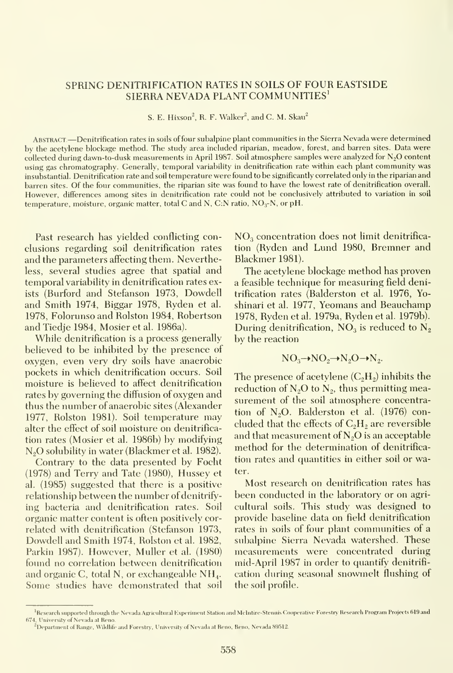#### SPRING DENITRIFICATION RATES IN SOILS OF FOUR EASTSIDE SIERRA NEVADA PLANT COMMUNITIES'

S. E. Hixson<sup>2</sup>, R. F. Walker<sup>2</sup>, and C. M. Skau<sup>2</sup>

Abstract —Denitrification rates in soils of four subalpine plant communities in the Sierra Nevada were determined by the acetylene blockage method. The study area included riparian, meadow, forest, and barren sites. Data were collected during dawn-to-dusk measurements in April 1987. Soil atmosphere samples were analyzed for N<sub>2</sub>O content using gas chromatography. Generally, temporal variability in denitrification rate within each plant community was insubstantial. Denitrification rate and soil temperature were found to be significantly correlated only in the riparian and barren sites. Of the four communities, the riparian site was found to have the lowest rate of denitrification overall. However, differences among sites in denitrification rate could not be conclusively attributed to variation in soil temperature, moisture, organic matter, total C and N, C:N ratio, NO<sub>3</sub>-N, or pH.

Past research has yielded conflicting conclusions regarding soil denitrification rates and the parameters affecting them. Nevertheless, several studies agree that spatial and temporal variability in denitrification rates exists (Burford and Stefanson 1973, Dowdell and Smith 1974, Biggar 1978, Ryden et al. 1978, Folorunso and Rolston 1984, Robertson and Tiedje 1984, Mosier et al. 1986a).

While denitrification is a process generally believed to be inhibited by the presence of oxygen, even very dry soils have anaerobic pockets in which denitrification occurs. Soil moisture is believed to affect denitrification rates by governing the diffusion of oxygen and thus the number of anaerobic sites (Alexander 1977, Rolston 1981). Soil temperature may alter the effect of soil moisture on denitrifica tion rates (Mosier et al. 1986b) by modifying N<sub>2</sub>O solubility in water (Blackmer et al. 1982).

Contrary to the data presented by Focht (1978) and Terry and Tate (1980), Hussey et al. (1985) suggested that there is a positive relationship between the number of denitrifying bacteria and denitrification rates. Soil organic matter content is often positively cor related with denitrification (Stefanson 1973, Dowdell and Smith 1974, Rolston et al. 1982, Parkin 1987). However, Muller et al. (1980) found no correlation between denitrification and organic C, total N, or exchangeable NH4. Some studies have demonstrated that soil

 $NO<sub>3</sub>$  concentration does not limit denitrification (Ryden and Lund 1980, Bremner and Blackmer 1981).

The acetylene blockage method has proven a feasible technique for measuring field denitrification rates (Balderston et al. 1976, Yoshinari et al. 1977, Yeomans and Beauchamp 1978, Ryden et al. 1979a, Ryden et al. 1979b). During denitrification,  $NO<sub>3</sub>$  is reduced to  $N<sub>2</sub>$ by the reaction

$$
NO_3 \rightarrow NO_2 \rightarrow N_2O \rightarrow N_2.
$$

The presence of acetylene  $(C_2H_2)$  inhibits the reduction of  $N_2O$  to  $N_2$ , thus permitting measurement of the soil atmosphere concentration of  $N_2O$ . Balderston et al. (1976) concluded that the effects of  $C_2H_2$  are reversible and that measurement of  $N_2O$  is an acceptable method for the determination of denitrifica tion rates and quantities in either soil or water.

Most research on denitrification rates has been conducted in the laboratory or on agri cultural soils. This study was designed to provide baseline data on field denitrification rates in soils of four plant communities of a subalpine Sierra Nevada watershed. These measurements were concentrated during mid-April 1987 in order to quantify denitrifi cation during seasonal snowmelt flushing of the soil profile.

<sup>&</sup>lt;sup>1</sup> Research supported through the Nevada Agricultural Experiment Station and McIntire-Stennis Coopcrative Forestry Research Program Projects 619 and 674, University of Nevada at Reno.

<sup>&</sup>lt;sup>2</sup>Department of Range, Wildhfe and Forestry, University of Nevada at Reno, Reno. Nevada 89512.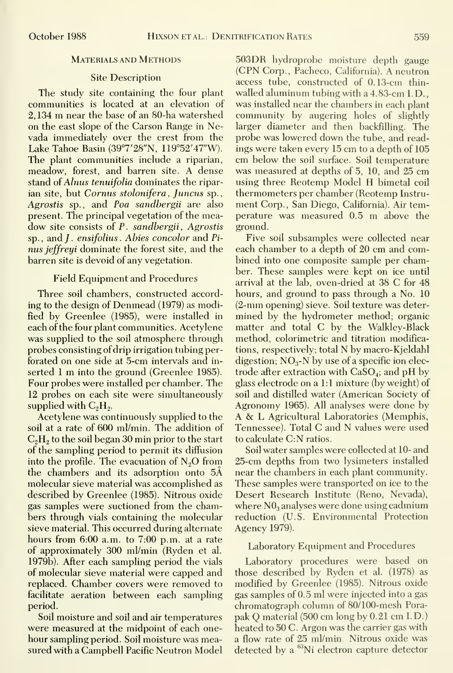#### Materials and Methods

#### Site Description

The study site containing the four plant communities is located at an elevation of 2, <sup>134</sup> m near the base of an 80-ha watershed on the east slope of the Carson Range in Nevada immediately over the crest from the Lake Tahoe Basin (39°7'28"N, 119°52'47"W). The plant communities include a riparian, meadow, forest, and barren site. A dense stand of Alnus tenuifolia dominates the riparian site, but Cornus stolonifera, Juncus sp., Agrostis sp., and Poa sandbergii are also present. The principal vegetation of the mea dow site consists of P. sandbergii, Agrostis sp. , and J . ensifolius . Abies concolor and Pi nus jeffreyi dominate the forest site, and the barren site is devoid of any vegetation.

#### Field Equipment and Procedures

Three soil chambers, constructed according to the design of Denmead (1979) as modified by Greenlee (1985), were installed in each of the four plant communities. Acetylene was supplied to the soil atmosphere through probes consisting of drip irrigation tubing perforated on one side at 5-cm intervals and in serted <sup>1</sup> m into the ground (Greenlee 1985). Four probes were installed per chamber. The 12 probes on each site were simultaneously supplied with  $C_2H_2$ .

Acetylene was continuously supplied to the soil at a rate of 600 ml/min. The addition of  $C_2$ H<sub>2</sub> to the soil began 30 min prior to the start of the sampling period to permit its diffusion into the profile. The evacuation of  $N<sub>2</sub>O$  from the chambers and its adsorption onto 5A molecular sieve material was accomplished as described by Greenlee (1985). Nitrous oxide gas samples were suctioned from the chambers through vials containing the molecular sieve material. This occurred during alternate hours from 6:00 a.m. to 7:00 p.m. at a rate of approximately 300 ml/min (Ryden et al. 1979b). After each sampling period the vials of molecular sieve material were capped and replaced. Chamber covers were removed to facilitate aeration between each sampling period.

Soil moisture and soil and air temperatures were measured at the midpoint of each one hour sampling period. Soil moisture was measured with a Campbell Pacific Neutron Model 503DR hydroprobe moisture depth gauge (CPN Corp., Pacheco, California). A neutron access tube, constructed of 0.13-cm thin walled aluminum tubing with <sup>a</sup> 4.83-cm I. D. was installed near the chambers in each plant community by augering holes of slightly larger diameter and then backfilling. The probe was lowered down the tube, and readings were taken every 15 cm to<sup>a</sup> depth of 105 cm below the soil surface. Soil temperature was measured at depths of 5, 10, and 25 cm using three Reotemp Model H bimetal coil thermometers per chamber (Reotemp Instru ment Corp., San Diego, California). Air temperature was measured 0.5 m above the ground.

Five soil subsamples were collected near each chamber to <sup>a</sup> depth of 20 cm and combined into one composite sample per chamber. These samples were kept on ice until arrival at the lab, oven-dried at 38 C for 48 hours, and ground to pass through a No. 10 (2-mm opening) sieve. Soil texture was determined by the hydrometer method; organic matter and total C by the Walkley-Black method, colorimetric and titration modifications, respectively; total N by macro-Kjeldahl digestion;  $NO<sub>3</sub> - N$  by use of a specific ion electrode after extraction with  $CaSO<sub>4</sub>$ ; and pH by glass electrode on a 1:1 mixture (by weight) of soil and distilled water (American Society of Agronomy 1965). All analyses were done by A & L Agricultural Laboratories (Memphis, Tennessee). Total C and N values were used to calculate C:N ratios.

Soil water samples were collected at 10- and 25-cm depths from two lysimeters installed near the chambers in each plant community. These samples were transported on ice to the Desert Research Institute (Reno, Nevada), where  $N0_3$  analyses were done using cadmium reduction (U.S. Environmental Protection Agency 1979).

#### Laboratory Equipment and Procedures

Laboratory procedures were based on those described by Ryden et al. (1978) as modified by Greenlee (1985). Nitrous oxide gas samples of 0.5 ml were injected into a gas chromatograph column of 80/100-mesh Pora pak Q material (500 cm long by 0.21 cm I.D.) heated to 50 C. Argon was the carrier gas with a flow rate of 25 ml/min Nitrous oxide was detected by a <sup>63</sup>Ni electron capture detector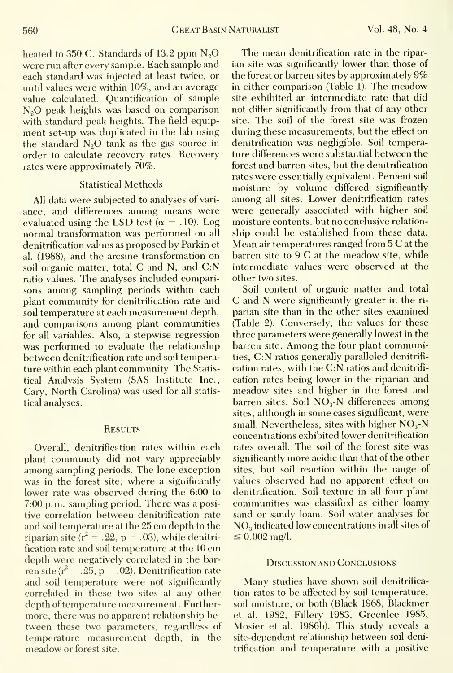heated to 350 C. Standards of 13.2 ppm  $N_2O$ were run after every sample. Each sample and each standard was injected at least twice, or until values were within 10%, and an average value calculated. Quantification of sample N<sub>2</sub>O peak heights was based on comparison with standard peak heights. The field equipment set-up was duplicated in the lab using the standard  $N_2O$  tank as the gas source in order to calculate recovery rates. Recovery rates were approximately 70%.

#### Statistical Methods

All data were subjected to analyses of vari ance, and differences among means were evaluated using the LSD test ( $\alpha = .10$ ). Log normal transformation was performed on all denitrification values as proposed by Parkin et al. (1988), and the arcsine transformation on soil organic matter, total C and N, and C:N ratio values. The analyses included comparisons among sampling periods within each plant community for denitrification rate and soil temperature at each measurement depth, and comparisons among plant communities for all variables. Also, a stepwise regression was performed to evaluate the relationship between denitrification rate and soil temperature within each plant community. The Statistical Analysis System (SAS Institute Inc., Gary, North Garolina) was used for all statistical analyses.

#### **RESULTS**

Overall, denitrification rates within each plant community did not vary appreciably among sampling periods. The lone exception was in the forest site, where a significantly lower rate was observed during the 6:00 to 7:00 p.m. sampling period. There was a positive correlation between denitrification rate and soil temperature at the 25 cm depth in the riparian site ( $r^2 = .22$ , p = .03), while denitrification rate and soil temperature at the 10 cm depth were negatively correlated in the bar ren site ( $r^2 = .25$ , p = .02). Denitrification rate and soil temperature were not significantly correlated in these two sites at any other depth of temperature measurement. Further more, there was no apparent relationship between these two parameters, regardless of temperature measurement depth, in the meadow or forest site.

The mean denitrification rate in the ripar ian site was significantly lower than those of the forest or barren sites by approximately 9% in either comparison (Table 1). The meadow site exhibited an intermediate rate that did not differ significantly from that of any other site. The soil of the forest site was frozen during these measurements, but the effect on denitrification was negligible. Soil temperature differences were substantial between the forest and barren sites, but the denitrification rates were essentially equivalent. Percent soil moisture by volume differed significantly among all sites. Lower denitrification rates were generally associated with higher soil moisture contents, but no conclusive relation ship could be established from these data. Mean air temperatures ranged from <sup>5</sup> C at the barren site to 9 C at the meadow site, while intermediate values were observed at the other two sites.

Soil content of organic matter and total G and N were significantly greater in the ri parian site than in the other sites examined (Table 2). Gonversely, the values for these three parameters were generally lowest in the barren site. Among the four plant communities, G:N ratios generally paralleled denitrifi cation rates, with the C:N ratios and denitrifi cation rates being lower in the riparian and meadow sites and higher in the forest and barren sites. Soil  $NO<sub>3</sub>$ -N differences among sites, although in some cases significant, were small. Nevertheless, sites with higher  $NO<sub>3</sub>-N$ concentrations exhibited lower denitrification rates overall. The soil of the forest site was significantly more acidic than that of the other sites, but soil reaction within the range of values observed had no apparent effect on denitrification. Soil texture in all four plant communities was classified as either loamy sand or sandy loam. Soil water analyses for  $NO<sub>3</sub>$  indicated low concentrations in all sites of  $\leq 0.002 \,\mathrm{mg}/l.$ 

#### Discussion and Gonclusions

Many studies have shown soil denitrifica tion rates to be affected by soil temperature, soil moisture, or both (Black 1968, Blackmer et al. 1982, Fillery 1983, Greenlee 1985, Mosier et al. 1986b). This study reveals a site-dependent relationship between soil denitrification and temperature with a positive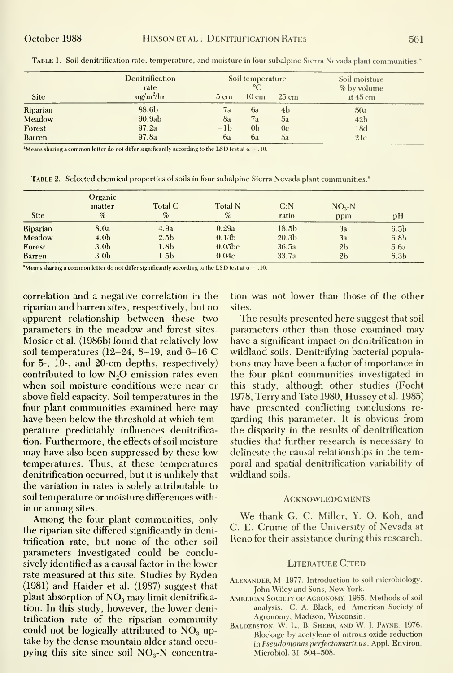|               | <b>Denitrification</b><br>rate<br>$ug/m^2/hr$ | Soil temperature<br>$^{\circ}C$ |                 |                 | Soil moisture<br>% by volume |  |
|---------------|-----------------------------------------------|---------------------------------|-----------------|-----------------|------------------------------|--|
| <b>Site</b>   |                                               | $5 \text{ cm}$                  | $10 \text{ cm}$ | $25 \text{ cm}$ | at $45 \text{ cm}$           |  |
| Riparian      | 88.6b                                         | 7a                              | 6a              | 4b              | 50a                          |  |
| Meadow        | 90.9ab                                        | 8a                              | 7a              | 5a              | 42 <sub>b</sub>              |  |
| Forest        | 97.2a                                         | $-lb$                           | 0 <sub>b</sub>  | 0 <sub>c</sub>  | 18d                          |  |
| <b>Barren</b> | 97.8a                                         | 6a                              | 6a              | 5a              | 21c                          |  |

TABLE 1. Soil denitrification rate, temperature, and moisture in four subalpine Sierra Nevada plant communities.<sup>4</sup>

<sup>a</sup>Means sharing a common letter do not differ significantly according to the LSD test at  $\alpha = 0.10$ .

TABLE 2. Selected chemical properties of soils in four subalpine Sierra Nevada plant communities.<sup>3</sup>

| <b>Site</b> | Organic<br>matter<br>$\%$ | Total C<br>$\%$  | <b>Total N</b><br>$\%$ | C: N<br>ratio     | $NO3-N$<br>ppm | pH               |
|-------------|---------------------------|------------------|------------------------|-------------------|----------------|------------------|
| Riparian    | 8.0a                      | 4.9a             | 0.29a                  | 18.5 <sub>b</sub> | 3a             | 6.5 <sub>b</sub> |
| Meadow      | 4.0 <sub>b</sub>          | 2.5 <sub>b</sub> | 0.13 <sub>b</sub>      | 20.3 <sub>b</sub> | 3a             | 6.8 <sub>b</sub> |
| Forest      | 3.0 <sub>b</sub>          | 1.8 <sub>b</sub> | 0.05 <sub>bc</sub>     | 36.5a             | 2 <sub>b</sub> | 5.6a             |
| Barren      | 3.0 <sub>b</sub>          | $1.5\mathrm{b}$  | 0.04c                  | 33.7a             | 2 <sub>b</sub> | 6.3 <sub>b</sub> |

<sup>a</sup>Means sharing a common letter do not differ significantly according to the LSD test at  $\alpha = .10$ .

correlation and a negative correlation in the riparian and barren sites, respectively, but no apparent relationship between these two parameters in the meadow and forest sites. Mosier et al. (1986b) found that relatively low soil temperatures (12–24, 8–19, and 6–16 C for  $5$ -,  $10$ -, and  $20$ -cm depths, respectively) contributed to low  $N_2O$  emission rates even when soil moisture conditions were near or above field capacity. Soil temperatures in the four plant communities examined here may have been below the threshold at which temperature predictably influences denitrification. Furthermore, the effects of soil moisture may have also been suppressed by these low temperatures. Thus, at these temperatures denitrification occurred, but it is unlikely that the variation in rates is solely attributable to soil temperature or moisture differences within or among sites.

Among the four plant communities, only the riparian site differed significantly in denitrification rate, but none of the other soil parameters investigated could be conclusively identified as a causal factor in the lower rate measured at this site. Studies by Ryden  $(1981)$  and Haider et al.  $(1987)$  suggest that plant absorption of NO<sub>3</sub> may limit denitrification. In this study, however, the lower denitrification rate of the riparian community could not be logically attributed to  $NO<sub>3</sub>$  uptake by the dense mountain alder stand occupying this site since soil  $NO<sub>3</sub>-N$  concentration was not lower than those of the other sites.

The results presented here suggest that soil parameters other than those examined may have a significant impact on denitrification in wildland soils. Denitrifying bacterial populations may have been a factor of importance in the four plant communities investigated in this study, although other studies (Focht 1978, Terry and Tate 1980, Hussey et al. 1985) have presented conflicting conclusions regarding this parameter. It is obvious from the disparity in the results of denitrification studies that further research is necessary to delineate the causal relationships in the temporal and spatial denitrification variability of wildland soils.

#### **ACKNOWLEDGMENTS**

We thank G. C. Miller, Y. O. Koh, and C. E. Crume of the University of Nevada at Reno for their assistance during this research.

#### **LITERATURE CITED**

- ALEXANDER, M. 1977. Introduction to soil microbiology. John Wiley and Sons, New York.
- AMERICAN SOCIETY OF AGRONOMY. 1965. Methods of soil analysis. C. A. Black, ed. American Society of Agronomy, Madison, Wisconsin.
- BALDERSTON, W. L., B. SHERR, AND W. J. PAYNE. 1976. Blockage by acetylene of nitrous oxide reduction in Pseudomonas perfectomarinus. Appl. Environ. Microbiol. 31: 504-508.